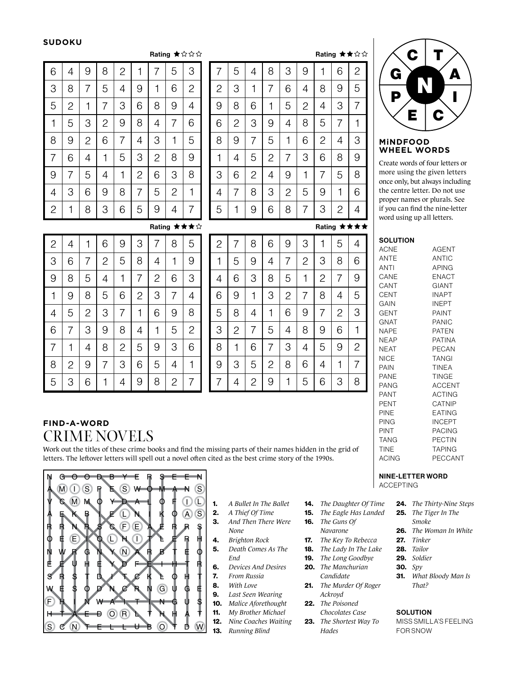#### **SUDOKU**

 $\overline{\phantom{a}}$ 

#### Rating  $\star$  $\hat{\mathbf{x}}$  $\hat{\mathbf{x}}$

| 6              | 4              | 9              | 8              | $\overline{c}$ | 1              | 7              | 5              | 3              |
|----------------|----------------|----------------|----------------|----------------|----------------|----------------|----------------|----------------|
| 3              | 8              | 7              | 5              | 4              | 9              | 1              | 6              | $\overline{c}$ |
| 5              | $\overline{c}$ | 1              | 7              | 3              | 6              | 8              | 9              | $\overline{4}$ |
| 1              | 5              | 3              | $\overline{c}$ | 9              | 8              | 4              | 7              | 6              |
| 8              | 9              | $\overline{c}$ | 6              | 7              | 4              | 3              | 1              | 5              |
| $\overline{7}$ | 6              | $\overline{4}$ | 1              | 5              | 3              | $\overline{2}$ | 8              | 9              |
| 9              | 7              | 5              | 4              | 1              | $\overline{2}$ | 6              | 3              | 8              |
| $\overline{4}$ | 3              | 6              | 9              | 8              | 7              | 5              | $\overline{c}$ | $\mathbf{1}$   |
| $\mathbf{2}$   | 1              | 8              | 3              | 6              | 5              | 9              | 4              | 7              |

|                |                |                |                |                |                |                | Rating ★★☆ |   |
|----------------|----------------|----------------|----------------|----------------|----------------|----------------|------------|---|
| 7              | 5              | 4              | 8              | 3              | 9              |                | 6          | 2 |
| $\overline{c}$ | 3              | 1              | 7              | 6              | 4              | 8              | 9          | 5 |
| 9              | 8              | 6              | 1              | 5              | $\overline{c}$ | 4              | 3          | 7 |
| 6              | $\overline{2}$ | 3              | 9              | $\overline{4}$ | 8              | 5              | 7          | 1 |
| 8              | 9              | 7              | 5              | 1              | 6              | $\overline{c}$ | 4          | 3 |
| 1              | 4              | 5              | $\overline{2}$ | 7              | 3              | 6              | 8          | 9 |
| 3              | 6              | $\overline{2}$ | 4              | 9              | 1              | 7              | 5          | 8 |
| 4              | 7              | 8              | 3              | 2              | 5              | 9              | 1          | 6 |

8

7

# $\mathbf C$ N

## G **AN** A P W I EIC

#### **MiNDFOOD WHEEL WORDS**

Create words of four letters or more using the given letters once only, but always including the centre letter. Do not use proper names or plurals. See if you can find the nine-letter word using up all letters.

Rating ★★★☆

5

1

9

6

| $\overline{c}$ | 4              | 1              | 6              | 9              | 3              | 7              | 8              | 5              |
|----------------|----------------|----------------|----------------|----------------|----------------|----------------|----------------|----------------|
| 3              | 6              | 7              | $\overline{c}$ | 5              | 8              | 4              | 1              | 9              |
| 9              | 8              | 5              | 4              | 1              | 7              | $\overline{c}$ | 6              | 3              |
| 1              | 9              | 8              | 5              | 6              | $\overline{c}$ | 3              | 7              | 4              |
| $\overline{4}$ | 5              | $\overline{c}$ | 3              | 7              | 1              | 6              | 9              | 8              |
| 6              | 7              | 3              | 9              | 8              | 4              | 1              | 5              | $\overline{c}$ |
| $\overline{7}$ | 1              | 4              | 8              | $\overline{c}$ | 5              | 9              | 3              | 6              |
| 8              | $\overline{c}$ | 9              | 7              | 3              | 6              | 5              | 4              | 1              |
| 5              | З              | 6              | 1              | 4              | 9              | 8              | $\overline{c}$ | 7              |

| $\overline{c}$ | 7              | 8              | 6              | 9              | 3              | 1              | 5            | 4              |
|----------------|----------------|----------------|----------------|----------------|----------------|----------------|--------------|----------------|
| 1              | 5              | 9              | 4              | 7              | $\overline{c}$ | З              | 8            | 6              |
| 4              | 6              | 3              | 8              | 5              | 1              | $\overline{c}$ | 7            | 9              |
| 6              | 9              | 1              | 3              | $\overline{2}$ | 7              | 8              | 4            | 5              |
| 5              | 8              | 4              | 1              | 6              | 9              | 7              | $\mathbf{2}$ | 3              |
| 3              | $\overline{c}$ | 7              | 5              | 4              | 8              | 9              | 6            |                |
| 8              | 1              | 6              | 7              | 3              | 4              | 5              | 9            | $\mathbf{2}$   |
| 9              | 3              | 5              | $\overline{c}$ | 8              | 6              | 4              | 1            | $\overline{7}$ |
| 7              | 4              | $\overline{c}$ | 9              |                | 5              | 6              | 3            | 8              |

## **FIND-A-WORD** CRIME NOVELS

Work out the titles of these crime books and find the missing parts of their names hidden in the grid of letters. The leftover letters will spell out a novel often cited as the best crime story of the 1990s.



- 1. *A Bullet In The Ballet*
- 2. *A Thief Of Time* 3. *And Then There Were None*
- 4. *Brighton Rock*
- 5. *Death Comes As The End*
- 6. *Devices And Desires*
- 7. *From Russia*
- 8. *With Love*
- 9. *Last Seen Wearing*
- 10. *Malice Aforethought*
- 11. *My Brother Michael*
- 12. *Nine Coaches Waiting* 13. *Running Blind*
- 14. *The Daughter Of Time* 15. *The Eagle Has Landed*
- 
- 16. *The Guns Of*
- *Navarone*
- 17. *The Key To Rebecca*
- 18. *The Lady In The Lake* 19. *The Long Goodbye*
- 20. *The Manchurian*
- *Candidate*
- 21. *The Murder Of Roger Ackroyd*
- 22. *The Poisoned Chocolates Case*
- 23. *The Shortest Way To Hades*

### 24. *The Thirty-Nine Steps*

- 25. *The Tiger In The Smoke*
- 26. *The Woman In White*
- 27. *Tinker*

NINE-LETTER WORD

ACCEPTING

- 28. *Tailor*
- 29. *Soldier*
- 30. *Spy*
- 31. *What Bloody Man Is That?*

#### **SOLUTION**

MISS SMILLA'S FEELING FOR SNOW

| <b>SOLUTION</b> |       |
|-----------------|-------|
| ACNE            | AGFNT |
| ANTE            | ANTIC |
| ANTI            | APING |

| ANTI        | <b>APING</b>  |
|-------------|---------------|
| CANE        | ENACT         |
| CANT        | <b>GIANT</b>  |
| CENT        | <b>INAPT</b>  |
| GAIN        | INEPT         |
| <b>GENT</b> | <b>PAINT</b>  |
| GNAT        | PANIC         |
| NAPF        | <b>PATFN</b>  |
| NEAP        | PATINA        |
| NEAT        | PECAN         |
| NICE        | TANGI         |
| PAIN        | <b>TINEA</b>  |
| PANE        | <b>TINGE</b>  |
| PANG        | <b>ACCENT</b> |
| PANT        | <b>ACTING</b> |
| PENT        | CATNIP        |
| PINE        | EATING        |
| PING        | INCEPT        |
| PINT        | PACING        |
| <b>TANG</b> | <b>PECTIN</b> |
| <b>TINE</b> | <b>TAPING</b> |
| ACING       | PECCANT       |

1 5 6 3 © Lovatts Puzzles

Rating ★★★★

3 2 4

❖